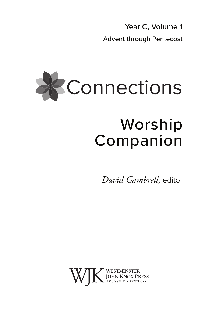Year C, Volume 1

Advent through Pentecost



# Worship Companion

*David Gambrell,* editor

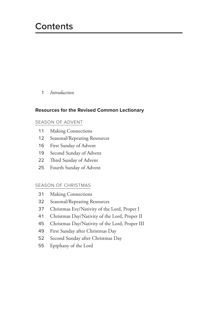### **Contents**

#### *Introduction*

#### **Resources for the Revised Common Lectionary**

#### SEASON OF ADVENT

- Making Connections
- Seasonal/Repeating Resources
- First Sunday of Advent
- Second Sunday of Advent
- Third Sunday of Advent
- Fourth Sunday of Advent

#### SEASON OF CHRISTMAS

- Making Connections
- Seasonal/Repeating Resources
- Christmas Eve/Nativity of the Lord, Proper I
- Christmas Day/Nativity of the Lord, Proper II
- Christmas Day/Nativity of the Lord, Proper III
- First Sunday after Christmas Day
- Second Sunday after Christmas Day
- Epiphany of the Lord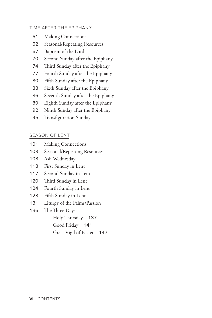#### TIME AFTER THE EPIPHANY

- Making Connections
- Seasonal/Repeating Resources
- Baptism of the Lord
- Second Sunday after the Epiphany
- Third Sunday after the Epiphany
- Fourth Sunday after the Epiphany
- Fifth Sunday after the Epiphany
- Sixth Sunday after the Epiphany
- Seventh Sunday after the Epiphany
- Eighth Sunday after the Epiphany
- Ninth Sunday after the Epiphany
- Transfiguration Sunday

#### SEASON OF LENT

| 101 | <b>Making Connections</b> |  |
|-----|---------------------------|--|
|-----|---------------------------|--|

- Seasonal/Repeating Resources
- Ash Wednesday
- First Sunday in Lent
- Second Sunday in Lent
- Third Sunday in Lent
- Fourth Sunday in Lent
- Fifth Sunday in Lent
- Liturgy of the Palms/Passion
- The Three Days

Holy Thursday 137

- Good Friday 141
- Great Vigil of Easter 147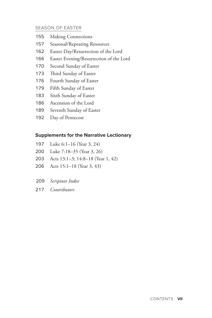#### SEASON OF EASTER

- Making Connections
- Seasonal/Repeating Resources
- Easter Day/Resurrection of the Lord
- Easter Evening/Resurrection of the Lord
- Second Sunday of Easter
- Third Sunday of Easter
- Fourth Sunday of Easter
- Fifth Sunday of Easter
- Sixth Sunday of Easter
- Ascension of the Lord
- Seventh Sunday of Easter
- Day of Pentecost

#### **Supplements for the Narrative Lectionary**

- Luke 6:1–16 (Year 3, 24)
- Luke 7:18–35 (Year 3, 26)
- Acts 13:1–3; 14:8–18 (Year 1, 42)
- Acts 15:1–18 (Year 3, 43)
- *Scripture Index*
- *Contributors*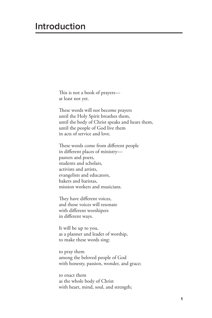### **Introduction**

This is not a book of prayers at least not yet.

These words will not become prayers until the Holy Spirit breathes them, until the body of Christ speaks and hears them, until the people of God live them in acts of service and love.

These words come from different people in different places of ministry pastors and poets, students and scholars, activists and artists, evangelists and educators, bakers and baristas, mission workers and musicians.

They have different voices, and those voices will resonate with different worshipers in different ways.

It will be up to you, as a planner and leader of worship, to make these words sing:

to pray them among the beloved people of God with honesty, passion, wonder, and grace;

to enact them as the whole body of Christ with heart, mind, soul, and strength;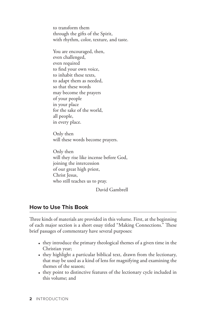to transform them through the gifts of the Spirit, with rhythm, color, texture, and taste.

You are encouraged, then, even challenged, even required to find your own voice, to inhabit these texts, to adapt them as needed, so that these words may become the prayers of your people in your place for the sake of the world, all people, in every place.

Only then will these words become prayers.

Only then will they rise like incense before God, joining the intercession of our great high priest, Christ Jesus, who still teaches us to pray.

David Gambrell

### **How to Use This Book**

Three kinds of materials are provided in this volume. First, at the beginning of each major section is a short essay titled "Making Connections." These brief passages of commentary have several purposes:

- they introduce the primary theological themes of a given time in the Christian year;
- they highlight a particular biblical text, drawn from the lectionary, that may be used as a kind of lens for magnifying and examining the themes of the season;
- they point to distinctive features of the lectionary cycle included in this volume; and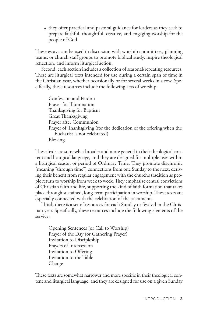• they offer practical and pastoral guidance for leaders as they seek to prepare faithful, thoughtful, creative, and engaging worship for the people of God.

These essays can be used in discussion with worship committees, planning teams, or church staff groups to promote biblical study, inspire theological reflection, and inform liturgical action.

Second, each section includes a collection of seasonal/repeating resources. These are liturgical texts intended for use during a certain span of time in the Christian year, whether occasionally or for several weeks in a row. Specifically, these resources include the following acts of worship:

Confession and Pardon Prayer for Illumination Thanksgiving for Baptism Great Thanksgiving Prayer after Communion Prayer of Thanksgiving (for the dedication of the offering when the Eucharist is not celebrated) Blessing

These texts are somewhat broader and more general in their theological content and liturgical language, and they are designed for multiple uses within a liturgical season or period of Ordinary Time. They promote diachronic (meaning "through time") connections from one Sunday to the next, deriving their benefit from regular engagement with the church's tradition as people return to worship from week to week. They emphasize central convictions of Christian faith and life, supporting the kind of faith formation that takes place through sustained, long-term participation in worship. These texts are especially connected with the celebration of the sacraments.

Third, there is a set of resources for each Sunday or festival in the Christian year. Specifically, these resources include the following elements of the service:

Opening Sentences (or Call to Worship) Prayer of the Day (or Gathering Prayer) Invitation to Discipleship Prayers of Intercession Invitation to Offering Invitation to the Table Charge

These texts are somewhat narrower and more specific in their theological content and liturgical language, and they are designed for use on a given Sunday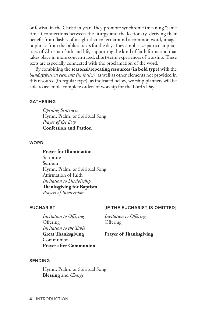or festival in the Christian year. They promote synchronic (meaning "same time") connections between the liturgy and the lectionary, deriving their benefit from flashes of insight that collect around a common word, image, or phrase from the biblical texts for the day. They emphasize particular practices of Christian faith and life, supporting the kind of faith formation that takes place in more concentrated, short-term experiences of worship. These texts are especially connected with the proclamation of the word.

By combining the **seasonal/repeating resources (in bold type)** with the *Sunday/festival elements (in italics)*, as well as other elements not provided in this resource (in regular type), as indicated below, worship planners will be able to assemble complete orders of worship for the Lord's Day.

#### **GATHERING**

*Opening Sentences* Hymn, Psalm, or Spiritual Song *Prayer of the Day* **Confession and Pardon** 

#### **WORD**

**Prayer for Illumination** Scripture Sermon Hymn, Psalm, or Spiritual Song Affirmation of Faith *Invitation to Discipleship*  **Thanksgiving for Baptism** *Prayers of Intercession*

#### **EUCHARIST [IF THE EUCHARIST IS OMITTED]**

*Invitation to Offering Invitation to Offering* Offering Offering *Invitation to the Table* **Great Thanksgiving Prayer of Thanksgiving** Communion **Prayer after Communion**

#### **SENDING**

Hymn, Psalm, or Spiritual Song **Blessing** and *Charge*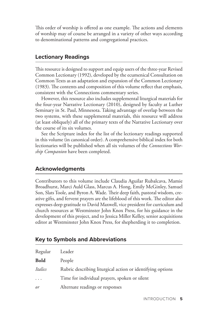This order of worship is offered as one example. The actions and elements of worship may of course be arranged in a variety of other ways according to denominational patterns and congregational practices.

### **Lectionary Readings**

This resource is designed to support and equip users of the three-year Revised Common Lectionary (1992), developed by the ecumenical Consultation on Common Texts as an adaptation and expansion of the Common Lectionary (1983). The contents and composition of this volume reflect that emphasis, consistent with the Connections commentary series.

However, this resource also includes supplemental liturgical materials for the four-year Narrative Lectionary (2010), designed by faculty at Luther Seminary in St. Paul, Minnesota. Taking advantage of overlap between the two systems, with these supplemental materials, this resource will address (at least obliquely) all of the primary texts of the Narrative Lectionary over the course of its six volumes.

See the Scripture index for the list of the lectionary readings supported in this volume (in canonical order). A comprehensive biblical index for both lectionaries will be published when all six volumes of the *Connections Worship Companion* have been completed.

#### **Acknowledgments**

Contributors to this volume include Claudia Aguilar Rubalcava, Mamie Broadhurst, Marci Auld Glass, Marcus A. Hong, Emily McGinley, Samuel Son, Slats Toole, and Byron A. Wade. Their deep faith, pastoral wisdom, creative gifts, and fervent prayers are the lifeblood of this work. The editor also expresses deep gratitude to David Maxwell, vice president for curriculum and church resources at Westminster John Knox Press, for his guidance in the development of this project, and to Jessica Miller Kelley, senior acquisitions editor at Westminster John Knox Press, for shepherding it to completion.

| Regular     | Leader                                                     |
|-------------|------------------------------------------------------------|
| <b>Bold</b> | People                                                     |
| Italics     | Rubric describing liturgical action or identifying options |
| $\cdots$    | Time for individual prayers, spoken or silent              |
| or          | Alternate readings or responses                            |

#### **Key to Symbols and Abbreviations**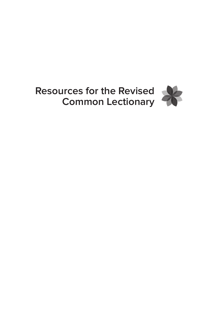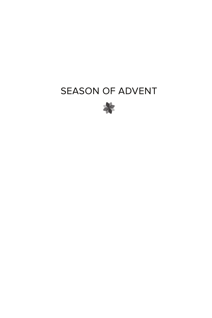## SEASON OF ADVENT

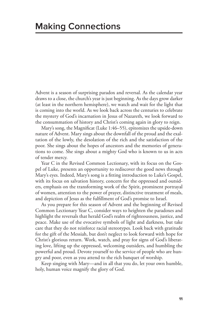Advent is a season of surprising paradox and reversal. As the calendar year draws to a close, the church's year is just beginning. As the days grow darker (at least in the northern hemisphere), we watch and wait for the light that is coming into the world. As we look back across the centuries to celebrate the mystery of God's incarnation in Jesus of Nazareth, we look forward to the consummation of history and Christ's coming again in glory to reign.

Mary's song, the Magnificat (Luke 1:46–55), epitomizes the upside-down nature of Advent. Mary sings about the downfall of the proud and the exaltation of the lowly, the desolation of the rich and the satisfaction of the poor. She sings about the hopes of ancestors and the memories of generations to come. She sings about a mighty God who is known to us in acts of tender mercy.

Year C in the Revised Common Lectionary, with its focus on the Gospel of Luke, presents an opportunity to rediscover the good news through Mary's eyes. Indeed, Mary's song is a fitting introduction to Luke's Gospel, with its focus on salvation history, concern for the oppressed and outsiders, emphasis on the transforming work of the Spirit, prominent portrayal of women, attention to the power of prayer, distinctive treatment of meals, and depiction of Jesus as the fulfillment of God's promise to Israel.

As you prepare for this season of Advent and the beginning of Revised Common Lectionary Year C, consider ways to heighten the paradoxes and highlight the reversals that herald God's realm of righteousness, justice, and peace. Make use of the evocative symbols of light and darkness, but take care that they do not reinforce racial stereotypes. Look back with gratitude for the gift of the Messiah, but don't neglect to look forward with hope for Christ's glorious return. Work, watch, and pray for signs of God's liberating love, lifting up the oppressed, welcoming outsiders, and humbling the powerful and proud. Devote yourself to the service of people who are hungry and poor, even as you attend to the rich banquet of worship.

Keep singing with Mary—and in all that you do, let your own humble, holy, human voice magnify the glory of God.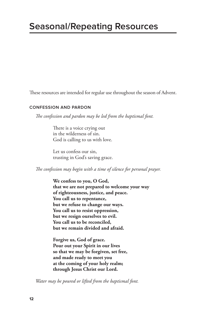### **Seasonal/Repeating Resources**

These resources are intended for regular use throughout the season of Advent.

#### **CONFESSION AND PARDON**

*The confession and pardon may be led from the baptismal font.* 

There is a voice crying out in the wilderness of sin. God is calling to us with love.

Let us confess our sin, trusting in God's saving grace.

*The confession may begin with a time of silence for personal prayer.* 

**We confess to you, O God, that we are not prepared to welcome your way of righteousness, justice, and peace. You call us to repentance, but we refuse to change our ways. You call us to resist oppression, but we resign ourselves to evil. You call us to be reconciled, but we remain divided and afraid.** 

**Forgive us, God of grace. Pour out your Spirit in our lives so that we may be forgiven, set free, and made ready to meet you at the coming of your holy realm; through Jesus Christ our Lord.**

*Water may be poured or lifted from the baptismal font.*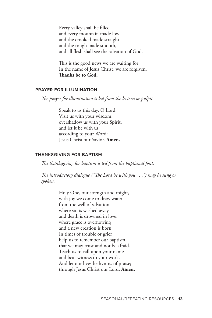Every valley shall be filled and every mountain made low and the crooked made straight and the rough made smooth, and all flesh shall see the salvation of God.

This is the good news we are waiting for: In the name of Jesus Christ, we are forgiven. **Thanks be to God.** 

#### **PRAYER FOR ILLUMINATION**

*The prayer for illumination is led from the lectern or pulpit.* 

Speak to us this day, O Lord. Visit us with your wisdom, overshadow us with your Spirit, and let it be with us according to your Word: Jesus Christ our Savior. **Amen.** 

#### **THANKSGIVING FOR BAPTISM**

*The thanksgiving for baptism is led from the baptismal font.*

*The introductory dialogue ("The Lord be with you . . .") may be sung or spoken.* 

> Holy One, our strength and might, with joy we come to draw water from the well of salvation where sin is washed away and death is drowned in love; where grace is overflowing and a new creation is born. In times of trouble or grief help us to remember our baptism, that we may trust and not be afraid. Teach us to call upon your name and bear witness to your work. And let our lives be hymns of praise; through Jesus Christ our Lord. **Amen.**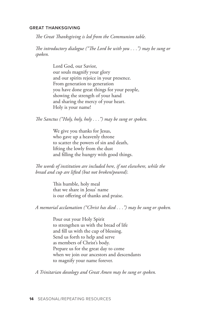#### **GREAT THANKSGIVING**

*The Great Thanksgiving is led from the Communion table.* 

*The introductory dialogue ("The Lord be with you . . .") may be sung or spoken.* 

> Lord God, our Savior, our souls magnify your glory and our spirits rejoice in your presence. From generation to generation you have done great things for your people, showing the strength of your hand and sharing the mercy of your heart. Holy is your name!

*The Sanctus ("Holy, holy, holy . . .") may be sung or spoken.* 

We give you thanks for Jesus, who gave up a heavenly throne to scatter the powers of sin and death, lifting the lowly from the dust and filling the hungry with good things.

*The words of institution are included here, if not elsewhere, while the bread and cup are lifted (but not broken/poured).* 

> This humble, holy meal that we share in Jesus' name is our offering of thanks and praise.

*A memorial acclamation ("Christ has died . . .") may be sung or spoken.* 

Pour out your Holy Spirit to strengthen us with the bread of life and fill us with the cup of blessing. Send us forth to help and serve as members of Christ's body. Prepare us for the great day to come when we join our ancestors and descendants to magnify your name forever.

*A Trinitarian doxology and Great Amen may be sung or spoken.*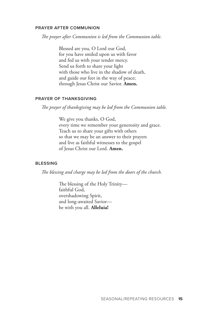#### **PRAYER AFTER COMMUNION**

*The prayer after Communion is led from the Communion table.* 

Blessed are you, O Lord our God, for you have smiled upon us with favor and fed us with your tender mercy. Send us forth to share your light with those who live in the shadow of death, and guide our feet in the way of peace; through Jesus Christ our Savior. **Amen.** 

#### **PRAYER OF THANKSGIVING**

*The prayer of thanksgiving may be led from the Communion table.*

We give you thanks, O God, every time we remember your generosity and grace. Teach us to share your gifts with others so that we may be an answer to their prayers and live as faithful witnesses to the gospel of Jesus Christ our Lord. **Amen.** 

#### **BLESSING**

*The blessing and charge may be led from the doors of the church.*

The blessing of the Holy Trinity faithful God, overshadowing Spirit, and long-awaited Savior be with you all. **Alleluia!**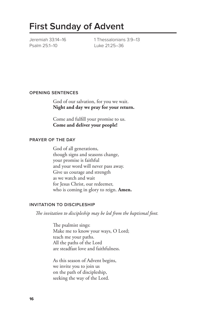### **First Sunday of Advent**

Psalm 25:1–10 Luke 21:25–36

Jeremiah 33:14–16 1 Thessalonians 3:9–13

#### **OPENING SENTENCES**

God of our salvation, for you we wait. **Night and day we pray for your return.** 

Come and fulfill your promise to us. **Come and deliver your people!** 

#### **PRAYER OF THE DAY**

God of all generations, though signs and seasons change, your promise is faithful and your word will never pass away. Give us courage and strength as we watch and wait for Jesus Christ, our redeemer, who is coming in glory to reign. **Amen.**

#### **INVITATION TO DISCIPLESHIP**

*The invitation to discipleship may be led from the baptismal font.*

The psalmist sings: Make me to know your ways, O Lord; teach me your paths. All the paths of the Lord are steadfast love and faithfulness.

As this season of Advent begins, we invite you to join us on the path of discipleship, seeking the way of the Lord.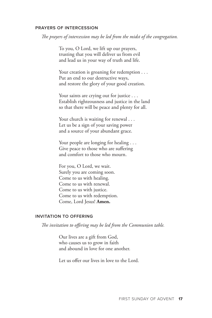#### **PRAYERS OF INTERCESSION**

*The prayers of intercession may be led from the midst of the congregation.*

To you, O Lord, we lift up our prayers, trusting that you will deliver us from evil and lead us in your way of truth and life.

Your creation is groaning for redemption . . . Put an end to our destructive ways, and restore the glory of your good creation.

Your saints are crying out for justice . . . Establish righteousness and justice in the land so that there will be peace and plenty for all.

Your church is waiting for renewal . . . Let us be a sign of your saving power and a source of your abundant grace.

Your people are longing for healing . . . Give peace to those who are suffering and comfort to those who mourn.

For you, O Lord, we wait. Surely you are coming soon. Come to us with healing. Come to us with renewal. Come to us with justice. Come to us with redemption. Come, Lord Jesus! **Amen.** 

#### **INVITATION TO OFFERING**

*The invitation to offering may be led from the Communion table.* 

Our lives are a gift from God, who causes us to grow in faith and abound in love for one another.

Let us offer our lives in love to the Lord.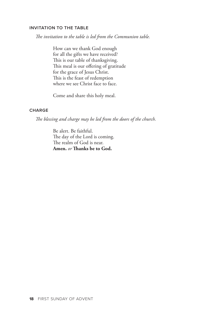#### **INVITATION TO THE TABLE**

*The invitation to the table is led from the Communion table.*

How can we thank God enough for all the gifts we have received? This is our table of thanksgiving. This meal is our offering of gratitude for the grace of Jesus Christ. This is the feast of redemption where we see Christ face to face.

Come and share this holy meal.

#### **CHARGE**

*The blessing and charge may be led from the doors of the church.*

Be alert. Be faithful. The day of the Lord is coming. The realm of God is near. **Amen.** *or* **Thanks be to God.**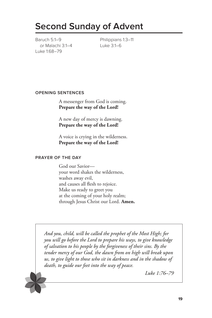## **Second Sunday of Advent**

Baruch 5:1–9 Philippians 1:3–11 *or* Malachi 3:1–4 Luke 3:1–6 Luke 1:68–79

#### **OPENING SENTENCES**

A messenger from God is coming. **Prepare the way of the Lord!**

A new day of mercy is dawning. **Prepare the way of the Lord!**

A voice is crying in the wilderness. **Prepare the way of the Lord!**

#### **PRAYER OF THE DAY**

God our Savior your word shakes the wilderness, washes away evil, and causes all flesh to rejoice. Make us ready to greet you at the coming of your holy realm; through Jesus Christ our Lord. **Amen.**

*And you, child, will be called the prophet of the Most High; for you will go before the Lord to prepare his ways, to give knowledge of salvation to his people by the forgiveness of their sins. By the tender mercy of our God, the dawn from on high will break upon us, to give light to those who sit in darkness and in the shadow of death, to guide our feet into the way of peace.*

*Luke 1:76–79*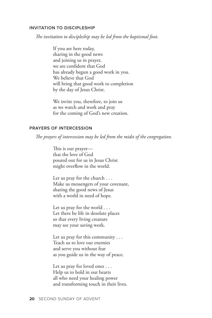#### **INVITATION TO DISCIPLESHIP**

*The invitation to discipleship may be led from the baptismal font.*

If you are here today, sharing in the good news and joining us in prayer, we are confident that God has already begun a good work in you. We believe that God will bring that good work to completion by the day of Jesus Christ.

We invite you, therefore, to join us as we watch and work and pray for the coming of God's new creation.

#### **PRAYERS OF INTERCESSION**

*The prayers of intercession may be led from the midst of the congregation.* 

This is our prayer that the love of God poured out for us in Jesus Christ might overflow in the world.

Let us pray for the church . . . Make us messengers of your covenant, sharing the good news of Jesus with a world in need of hope.

Let us pray for the world . . . Let there be life in desolate places so that every living creature may see your saving work.

Let us pray for this community . . . Teach us to love our enemies and serve you without fear as you guide us in the way of peace.

Let us pray for loved ones . . . Help us to hold in our hearts all who need your healing power and transforming touch in their lives.